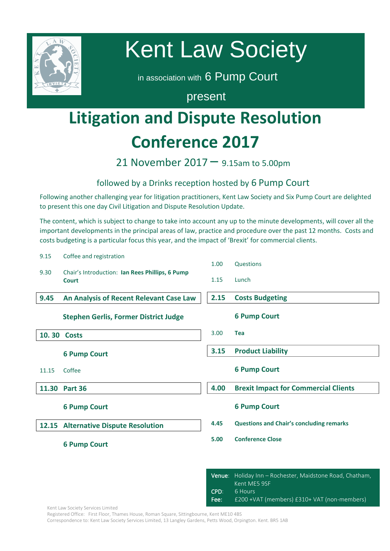

# Kent Law Society

in association with 6 Pump Court

present

## **Litigation and Dispute Resolution Conference 2017**

21 November 2017 – 9.15am to 5.00pm

## followed by a Drinks reception hosted by 6 Pump Court

ronowing another chanenging year for intigation practitioners, Kent Law Society and Six Pump Court are del<br>to present this one day Civil Litigation and Dispute Resolution Update. Following another challenging year for litigation practitioners, Kent Law Society and Six Pump Court are delighted

The content, which is subject to change to take into account any up to the minute developments, will cover all the<br>important developments in the principal areas of law, practice and procedure over the past 12 months. Costs important developments in the principal areas of law, practice and procedure over the past 12 months. Costs and costs budgeting is a particular focus this year, and the impact of 'Brexit' for commercial clients.

| 9.15  | Coffee and registration                                         |      |                                                 |
|-------|-----------------------------------------------------------------|------|-------------------------------------------------|
|       |                                                                 | 1.00 | Questions                                       |
| 9.30  | Chair's Introduction: Ian Rees Phillips, 6 Pump<br><b>Court</b> | 1.15 | Lunch                                           |
| 9.45  | An Analysis of Recent Relevant Case Law                         | 2.15 | <b>Costs Budgeting</b>                          |
|       | <b>Stephen Gerlis, Former District Judge</b>                    |      | <b>6 Pump Court</b>                             |
|       | 10.30 Costs                                                     | 3.00 | <b>Tea</b>                                      |
|       | <b>6 Pump Court</b>                                             | 3.15 | <b>Product Liability</b>                        |
| 11.15 | Coffee                                                          |      | <b>6 Pump Court</b>                             |
| 11.30 | Part 36                                                         | 4.00 | <b>Brexit Impact for Commercial Clients</b>     |
|       | <b>6 Pump Court</b>                                             |      | <b>6 Pump Court</b>                             |
|       | 12.15 Alternative Dispute Resolution                            | 4.45 | <b>Questions and Chair's concluding remarks</b> |
|       | <b>6 Pump Court</b>                                             | 5.00 | <b>Conference Close</b>                         |
|       |                                                                 |      |                                                 |

|      | Venue: Holiday Inn – Rochester, Maidstone Road, Chatham,<br>Kent ME5 9SF |
|------|--------------------------------------------------------------------------|
| CPD: | 6 Hours                                                                  |
| Fee: | £200 + VAT (members) £310+ VAT (non-members)                             |

Kent Law Society Services Limited

Registered Office: First Floor, Thames House, Roman Square, Sittingbourne, Kent ME10 4BS

Correspondence to: Kent Law Society Services Limited, 13 Langley Gardens, Petts Wood, Orpington. Kent. BR5 1AB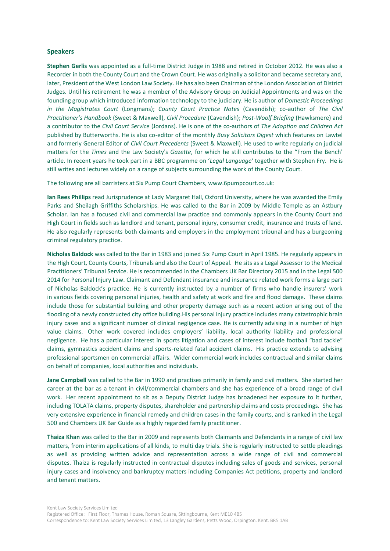#### **Speakers**

**Stephen Gerlis** was appointed as a full-time District Judge in 1988 and retired in October 2012. He was also a Recorder in both the County Court and the Crown Court. He was originally a solicitor and became secretary and, later, President of the West London Law Society. He has also been Chairman of the London Association of District Judges. Until his retirement he was a member of the Advisory Group on Judicial Appointments and was on the founding group which introduced information technology to the judiciary. He is author of *Domestic Proceedings in the Magistrates Court* (Longmans); *County Court Practice Notes* (Cavendish); co-author of *The Civil Practitioner's Handbook* (Sweet & Maxwell), *Civil Procedure* (Cavendish); *Post-Woolf Briefing* (Hawksmere) and a contributor to the *Civil Court Service* (Jordans). He is one of the co-authors of *The Adoption and Children Act* published by Butterworths. He is also co-editor of the monthly *Busy Solicitors Digest* which features on Lawtel and formerly General Editor of *Civil Court Precedents* (Sweet & Maxwell). He used to write regularly on judicial matters for the *Times* and the Law Society's *Gazette*, for which he still contributes to the "From the Bench' article. In recent years he took part in a BBC programme on '*Legal Language'* together with Stephen Fry. He is still writes and lectures widely on a range of subjects surrounding the work of the County Court.

The following are all barristers at Six Pump Court Chambers, www.6pumpcourt.co.uk:

**Ian Rees Phillips** read Jurisprudence at Lady Margaret Hall, Oxford University, where he was awarded the Emily Parks and Sheilagh Griffiths Scholarships. He was called to the Bar in 2009 by Middle Temple as an Astbury Scholar. Ian has a focused civil and commercial law practice and commonly appears in the County Court and High Court in fields such as landlord and tenant, personal injury, consumer credit, insurance and trusts of land. He also regularly represents both claimants and employers in the employment tribunal and has a burgeoning criminal regulatory practice.

**Nicholas Baldock** was called to the Bar in 1983 and joined Six Pump Court in April 1985. He regularly appears in the High Court, County Courts, Tribunals and also the Court of Appeal. He sits as a Legal Assessor to the Medical Practitioners' Tribunal Service. He is recommended in the Chambers UK Bar Directory 2015 and in the Legal 500 2014 for Personal Injury Law. Claimant and Defendant insurance and insurance related work forms a large part of Nicholas Baldock's practice. He is currently instructed by a number of firms who handle insurers' work in various fields covering personal injuries, health and safety at work and fire and flood damage. These claims include those for substantial building and other property damage such as a recent action arising out of the flooding of a newly constructed city office building.His personal injury practice includes many catastrophic brain injury cases and a significant number of clinical negligence case. He is currently advising in a number of high value claims. Other work covered includes employers' liability, local authority liability and professional negligence. He has a particular interest in sports litigation and cases of interest include football "bad tackle" claims, gymnastics accident claims and sports-related fatal accident claims. His practice extends to advising professional sportsmen on commercial affairs. Wider commercial work includes contractual and similar claims on behalf of companies, local authorities and individuals.

**Jane Campbell** was called to the Bar in 1990 and practises primarily in family and civil matters. She started her career at the bar as a tenant in civil/commercial chambers and she has experience of a broad range of civil work. Her recent appointment to sit as a Deputy District Judge has broadened her exposure to it further, including TOLATA claims, property disputes, shareholder and partnership claims and costs proceedings. She has very extensive experience in financial remedy and children cases in the family courts, and is ranked in the Legal 500 and Chambers UK Bar Guide as a highly regarded family practitioner.

**Thaiza Khan** was called to the Bar in 2009 and represents both Claimants and Defendants in a range of civil law matters, from interim applications of all kinds, to multi day trials. She is regularly instructed to settle pleadings as well as providing written advice and representation across a wide range of civil and commercial disputes. Thaiza is regularly instructed in contractual disputes including sales of goods and services, personal injury cases and insolvency and bankruptcy matters including Companies Act petitions, property and landlord and tenant matters.